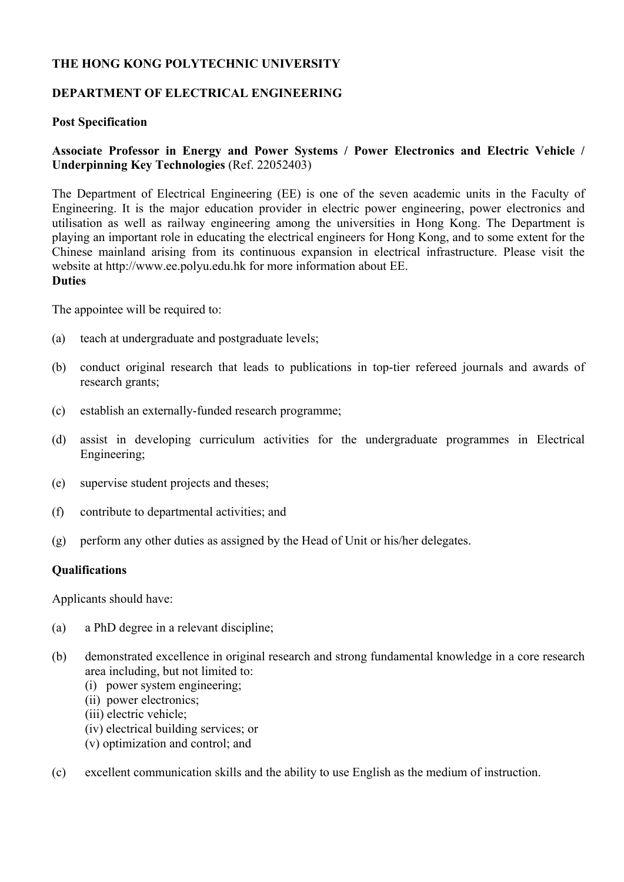# **THE HONG KONG POLYTECHNIC UNIVERSITY**

# **DEPARTMENT OF ELECTRICAL ENGINEERING**

# **Post Specification**

# **Associate Professor in Energy and Power Systems / Power Electronics and Electric Vehicle / Underpinning Key Technologies** (Ref. 22052403)

The Department of Electrical Engineering (EE) is one of the seven academic units in the Faculty of Engineering. It is the major education provider in electric power engineering, power electronics and utilisation as well as railway engineering among the universities in Hong Kong. The Department is playing an important role in educating the electrical engineers for Hong Kong, and to some extent for the Chinese mainland arising from its continuous expansion in electrical infrastructure. Please visit the website at http://www.ee.polyu.edu.hk for more information about EE. **Duties** 

The appointee will be required to:

- (a) teach at undergraduate and postgraduate levels;
- (b) conduct original research that leads to publications in top-tier refereed journals and awards of research grants;
- (c) establish an externally-funded research programme;
- (d) assist in developing curriculum activities for the undergraduate programmes in Electrical Engineering;
- (e) supervise student projects and theses;
- (f) contribute to departmental activities; and
- (g) perform any other duties as assigned by the Head of Unit or his/her delegates.

#### **Qualifications**

Applicants should have:

- (a) a PhD degree in a relevant discipline;
- (b) demonstrated excellence in original research and strong fundamental knowledge in a core research area including, but not limited to:
	- (i) power system engineering;
	- (ii) power electronics;
	- (iii) electric vehicle;
	- (iv) electrical building services; or
	- (v) optimization and control; and
- (c) excellent communication skills and the ability to use English as the medium of instruction.